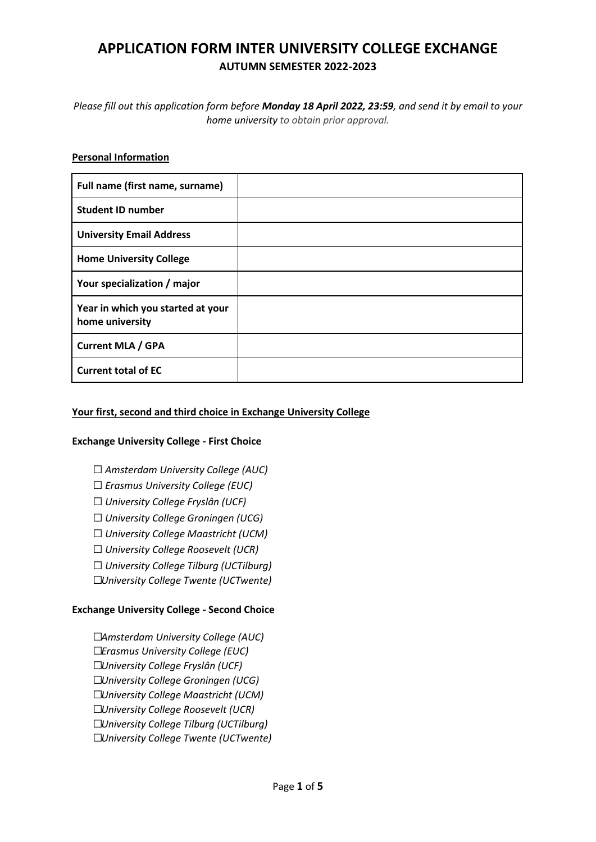# **APPLICATION FORM INTER UNIVERSITY COLLEGE EXCHANGE AUTUMN SEMESTER 2022-2023**

*Please fill out this application form before Monday 18 April 2022, 23:59, and send it by email to your home university to obtain prior approval.*

#### **Personal Information**

| Full name (first name, surname)                      |  |
|------------------------------------------------------|--|
| <b>Student ID number</b>                             |  |
| <b>University Email Address</b>                      |  |
| <b>Home University College</b>                       |  |
| Your specialization / major                          |  |
| Year in which you started at your<br>home university |  |
| <b>Current MLA / GPA</b>                             |  |
| <b>Current total of EC</b>                           |  |

#### **Your first, second and third choice in Exchange University College**

#### **Exchange University College - First Choice**

- ☐ *Amsterdam University College (AUC)*
- ☐ *Erasmus University College (EUC)*
- ☐ *University College Fryslân (UCF)*
- ☐ *University College Groningen (UCG)*
- ☐ *University College Maastricht (UCM)*
- ☐ *University College Roosevelt (UCR)*
- ☐ *University College Tilburg (UCTilburg)*
- ☐*University College Twente (UCTwente)*

#### **Exchange University College - Second Choice**

☐*Amsterdam University College (AUC)* ☐*Erasmus University College (EUC)* ☐*University College Fryslân (UCF)* ☐*University College Groningen (UCG)* ☐*University College Maastricht (UCM)* ☐*University College Roosevelt (UCR)* ☐*University College Tilburg (UCTilburg)* ☐*University College Twente (UCTwente)*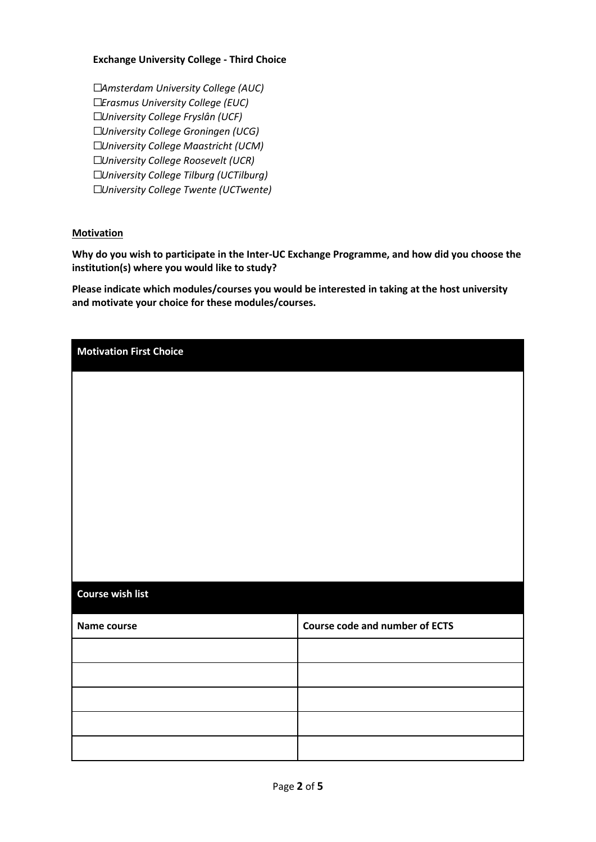#### **Exchange University College - Third Choice**

☐*Amsterdam University College (AUC)* ☐*Erasmus University College (EUC)* ☐*University College Fryslân (UCF)* ☐*University College Groningen (UCG)* ☐*University College Maastricht (UCM)* ☐*University College Roosevelt (UCR)* ☐*University College Tilburg (UCTilburg)* ☐*University College Twente (UCTwente)*

#### **Motivation**

**Why do you wish to participate in the Inter-UC Exchange Programme, and how did you choose the institution(s) where you would like to study?**

**Please indicate which modules/courses you would be interested in taking at the host university and motivate your choice for these modules/courses.**

| <b>Motivation First Choice</b> |                                       |
|--------------------------------|---------------------------------------|
|                                |                                       |
|                                |                                       |
|                                |                                       |
|                                |                                       |
|                                |                                       |
|                                |                                       |
|                                |                                       |
|                                |                                       |
| <b>Course wish list</b>        |                                       |
| Name course                    | <b>Course code and number of ECTS</b> |
|                                |                                       |
|                                |                                       |
|                                |                                       |
|                                |                                       |
|                                |                                       |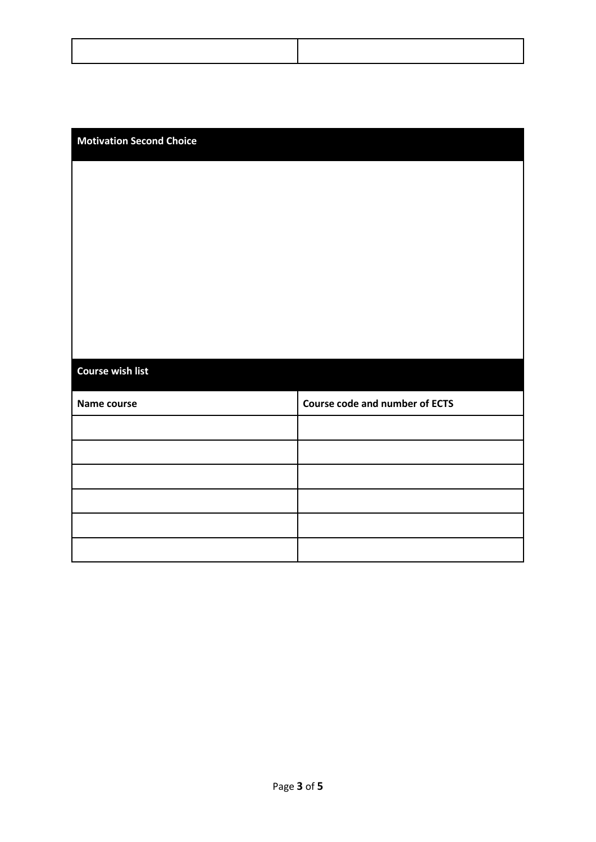#### **Motivation Second Choice**

# **Course wish list**

| Name course | <b>Course code and number of ECTS</b> |
|-------------|---------------------------------------|
|             |                                       |
|             |                                       |
|             |                                       |
|             |                                       |
|             |                                       |
|             |                                       |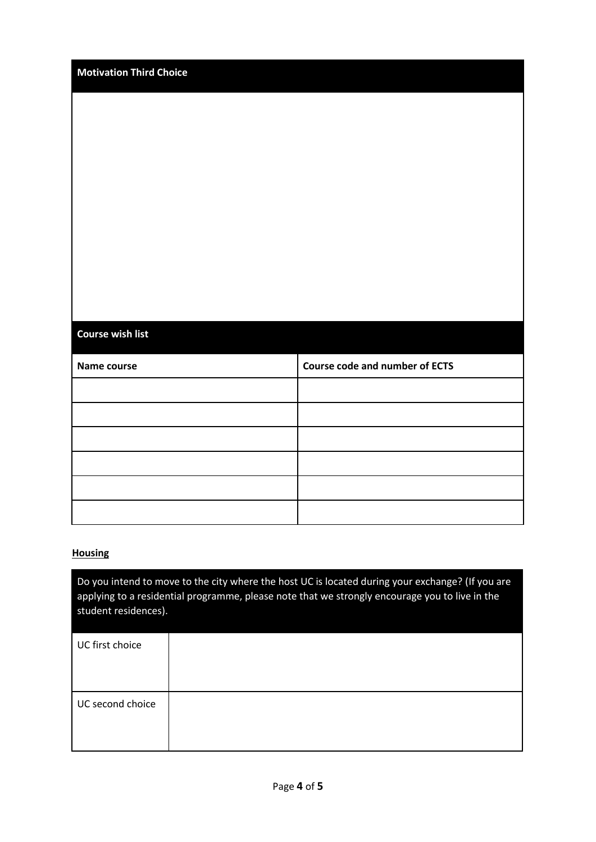| <b>Motivation Third Choice</b> |                                       |
|--------------------------------|---------------------------------------|
|                                |                                       |
|                                |                                       |
|                                |                                       |
|                                |                                       |
|                                |                                       |
|                                |                                       |
|                                |                                       |
|                                |                                       |
|                                |                                       |
| <b>Course wish list</b>        |                                       |
| Name course                    | <b>Course code and number of ECTS</b> |
|                                |                                       |
|                                |                                       |
|                                |                                       |
|                                |                                       |
|                                |                                       |
|                                |                                       |

## **Housing**

Do you intend to move to the city where the host UC is located during your exchange? (If you are applying to a residential programme, please note that we strongly encourage you to live in the student residences).

| UC first choice  |  |
|------------------|--|
| UC second choice |  |